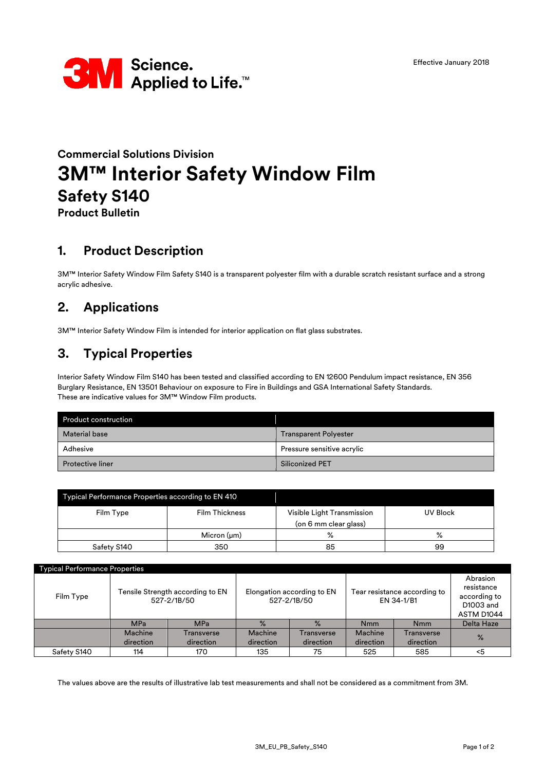

# **Commercial Solutions Division 3M™ Interior Safety Window Film Safety S140**

**Product Bulletin**

### **1. Product Description**

3M™ Interior Safety Window Film Safety S140 is a transparent polyester film with a durable scratch resistant surface and a strong acrylic adhesive.

## **2. Applications**

3M™ Interior Safety Window Film is intended for interior application on flat glass substrates.

### **3. Typical Properties**

Interior Safety Window Film S140 has been tested and classified according to EN 12600 Pendulum impact resistance, EN 356 Burglary Resistance, EN 13501 Behaviour on exposure to Fire in Buildings and GSA International Safety Standards. These are indicative values for 3M™ Window Film products.

| <b>Product construction</b> |                              |  |
|-----------------------------|------------------------------|--|
| <b>Material base</b>        | <b>Transparent Polyester</b> |  |
| Adhesive                    | Pressure sensitive acrylic   |  |
| <b>Protective liner</b>     | Siliconized PET              |  |

| Typical Performance Properties according to EN 410 |                       |                                                     |          |  |
|----------------------------------------------------|-----------------------|-----------------------------------------------------|----------|--|
| Film Type                                          | <b>Film Thickness</b> | Visible Light Transmission<br>(on 6 mm clear glass) | UV Block |  |
|                                                    | Micron $(\mu m)$      | $\%$                                                | ℅        |  |
| Safety S140                                        | 350                   | 85                                                  | 99       |  |

| <b>Typical Performance Properties</b> |                                                 |                         |                                           |                         |                                            |                                |                                                                   |
|---------------------------------------|-------------------------------------------------|-------------------------|-------------------------------------------|-------------------------|--------------------------------------------|--------------------------------|-------------------------------------------------------------------|
| Film Type                             | Tensile Strength according to EN<br>527-2/1B/50 |                         | Elongation according to EN<br>527-2/1B/50 |                         | Tear resistance according to<br>EN 34-1/B1 |                                | Abrasion<br>resistance<br>according to<br>D1003 and<br>ASTM D1044 |
|                                       | <b>MPa</b>                                      | <b>MPa</b>              | $\%$                                      | $\frac{9}{6}$           | <b>Nmm</b>                                 | <b>Nmm</b>                     | <b>Delta Haze</b>                                                 |
|                                       | Machine<br>direction                            | Transverse<br>direction | Machine<br>direction                      | Transverse<br>direction | Machine<br>direction                       | <b>Transverse</b><br>direction | $\frac{9}{6}$                                                     |
| Safety S140                           | 114                                             | 170                     | 135                                       | 75                      | 525                                        | 585                            | <5                                                                |

The values above are the results of illustrative lab test measurements and shall not be considered as a commitment from 3M.